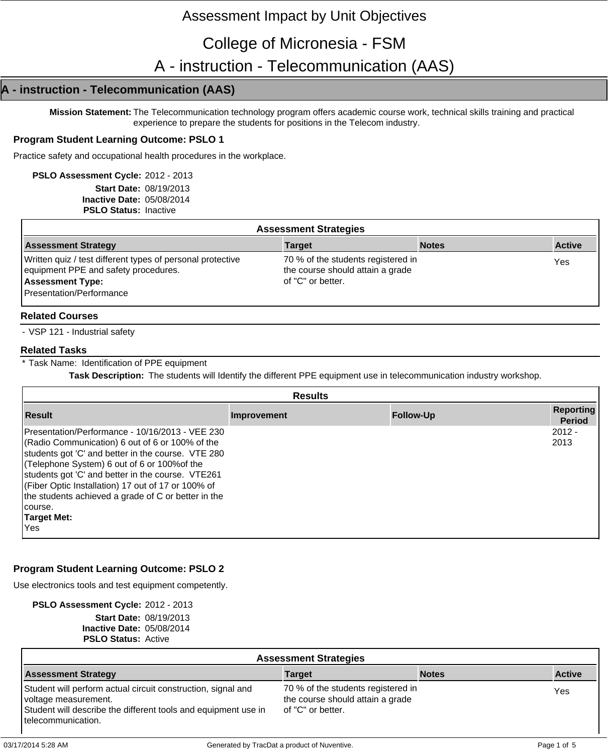# Assessment Impact by Unit Objectives

# College of Micronesia - FSM

A - instruction - Telecommunication (AAS)

# **A - instruction - Telecommunication (AAS)**

**Mission Statement:** The Telecommunication technology program offers academic course work, technical skills training and practical experience to prepare the students for positions in the Telecom industry.

# **Program Student Learning Outcome: PSLO 1**

Practice safety and occupational health procedures in the workplace.

**PSLO Assessment Cycle:** 2012 - 2013 **Start Date:** 08/19/2013 **Inactive Date:** 05/08/2014 **PSLO Status:** Inactive

| <b>Assessment Strategies</b>                                                                                                                              |                                                                                             |              |               |  |
|-----------------------------------------------------------------------------------------------------------------------------------------------------------|---------------------------------------------------------------------------------------------|--------------|---------------|--|
| <b>Assessment Strategy</b>                                                                                                                                | <b>Target</b>                                                                               | <b>Notes</b> | <b>Active</b> |  |
| Written quiz / test different types of personal protective<br>equipment PPE and safety procedures.<br><b>Assessment Type:</b><br>Presentation/Performance | 70 % of the students registered in<br>the course should attain a grade<br>of "C" or better. |              | Yes           |  |

## **Related Courses**

- VSP 121 - Industrial safety

#### **Related Tasks**

\* Task Name: Identification of PPE equipment

**Task Description:** The students will Identify the different PPE equipment use in telecommunication industry workshop.

|                                                                                                                                                                                                                                                                                                                                                                                                                      | <b>Results</b> |                  |                            |
|----------------------------------------------------------------------------------------------------------------------------------------------------------------------------------------------------------------------------------------------------------------------------------------------------------------------------------------------------------------------------------------------------------------------|----------------|------------------|----------------------------|
| <b>Result</b>                                                                                                                                                                                                                                                                                                                                                                                                        | Improvement    | <b>Follow-Up</b> | Reporting<br><b>Period</b> |
| IPresentation/Performance - 10/16/2013 - VEE 230<br>(Radio Communication) 6 out of 6 or 100% of the<br>students got 'C' and better in the course. VTE 280<br>(Telephone System) 6 out of 6 or 100% of the<br>students got 'C' and better in the course. VTE261<br>(Fiber Optic Installation) 17 out of 17 or 100% of<br>the students achieved a grade of C or better in the<br>Icourse.<br>Target Met:<br><b>Yes</b> |                |                  | $2012 -$<br>2013           |

# **Program Student Learning Outcome: PSLO 2**

Use electronics tools and test equipment competently.

**PSLO Assessment Cycle:** 2012 - 2013

**Start Date:** 08/19/2013 **Inactive Date:** 05/08/2014

| <b>PSLO Status: Active</b>   |
|------------------------------|
| $\mu$ acuve Dale. 03/06/2014 |

| <b>Assessment Strategies</b>                                                                                                                                                   |                                                                                             |              |               |  |
|--------------------------------------------------------------------------------------------------------------------------------------------------------------------------------|---------------------------------------------------------------------------------------------|--------------|---------------|--|
| <b>Assessment Strategy</b>                                                                                                                                                     | <b>Target</b>                                                                               | <b>Notes</b> | <b>Active</b> |  |
| Student will perform actual circuit construction, signal and<br>voltage measurement.<br>Student will describe the different tools and equipment use in<br>l telecommunication. | 70 % of the students registered in<br>the course should attain a grade<br>of "C" or better. |              | Yes           |  |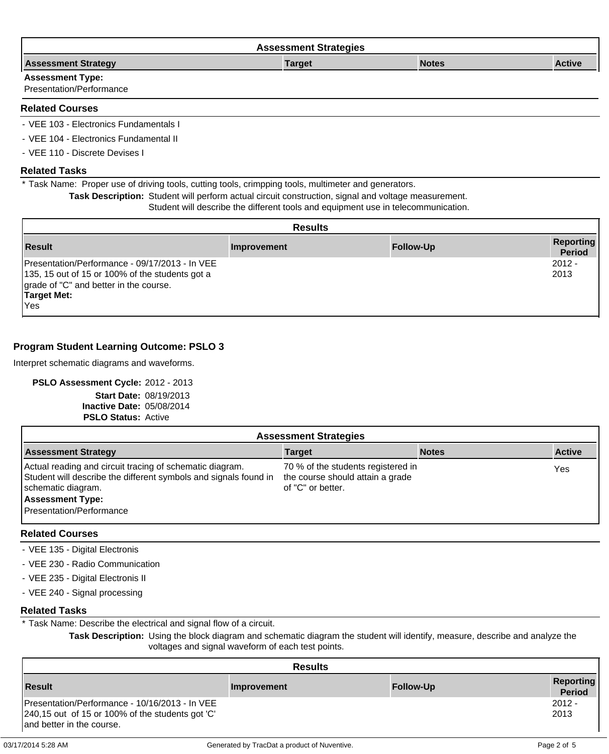| <b>Assessment Strategies</b> |               |              |               |  |
|------------------------------|---------------|--------------|---------------|--|
| <b>Assessment Strategy</b>   | <b>Target</b> | <b>Notes</b> | <b>Active</b> |  |
| <b>Assessment Type:</b>      |               |              |               |  |
| Presentation/Performance     |               |              |               |  |

#### **Related Courses**

- VEE 103 - Electronics Fundamentals I

- VEE 104 - Electronics Fundamental II

- VEE 110 - Discrete Devises I

#### **Related Tasks**

\* Task Name: Proper use of driving tools, cutting tools, crimpping tools, multimeter and generators.

**Task Description:** Student will perform actual circuit construction, signal and voltage measurement.

#### Student will describe the different tools and equipment use in telecommunication.

|                                                                                                                                                                                 | <b>Results</b> |                  |                                   |
|---------------------------------------------------------------------------------------------------------------------------------------------------------------------------------|----------------|------------------|-----------------------------------|
| <b>Result</b>                                                                                                                                                                   | Improvement    | <b>Follow-Up</b> | <b>Reporting</b><br><b>Period</b> |
| Presentation/Performance - 09/17/2013 - In VEE<br>135, 15 out of 15 or 100% of the students got a<br>grade of "C" and better in the course.<br><b>Target Met:</b><br><b>Yes</b> |                |                  | $2012 -$<br>2013                  |

# **Program Student Learning Outcome: PSLO 3**

Interpret schematic diagrams and waveforms.

#### **PSLO Assessment Cycle:** 2012 - 2013

**Start Date:** 08/19/2013 **Inactive Date:** 05/08/2014 **PSLO Status:** Active

| <b>Assessment Strategies</b>                                                                                                                                                                              |                                                                                             |              |               |  |
|-----------------------------------------------------------------------------------------------------------------------------------------------------------------------------------------------------------|---------------------------------------------------------------------------------------------|--------------|---------------|--|
| <b>Assessment Strategy</b>                                                                                                                                                                                | <b>Target</b>                                                                               | <b>Notes</b> | <b>Active</b> |  |
| Actual reading and circuit tracing of schematic diagram.<br>Student will describe the different symbols and signals found in<br>schematic diagram.<br><b>Assessment Type:</b><br>Presentation/Performance | 70 % of the students registered in<br>the course should attain a grade<br>of "C" or better. |              | Yes           |  |

# **Related Courses**

- VEE 135 Digital Electronis
- VEE 230 Radio Communication
- VEE 235 Digital Electronis II
- VEE 240 Signal processing

#### **Related Tasks**

\* Task Name: Describe the electrical and signal flow of a circuit.

**Task Description:** Using the block diagram and schematic diagram the student will identify, measure, describe and analyze the voltages and signal waveform of each test points.

|                                                                                                                                 | <b>Results</b> |                  |                            |
|---------------------------------------------------------------------------------------------------------------------------------|----------------|------------------|----------------------------|
| <b>Result</b>                                                                                                                   | Improvement    | <b>Follow-Up</b> | Reporting<br><b>Period</b> |
| Presentation/Performance - 10/16/2013 - In VEE<br>240,15 out of 15 or 100% of the students got 'C'<br>and better in the course. |                |                  | $2012 -$<br>2013           |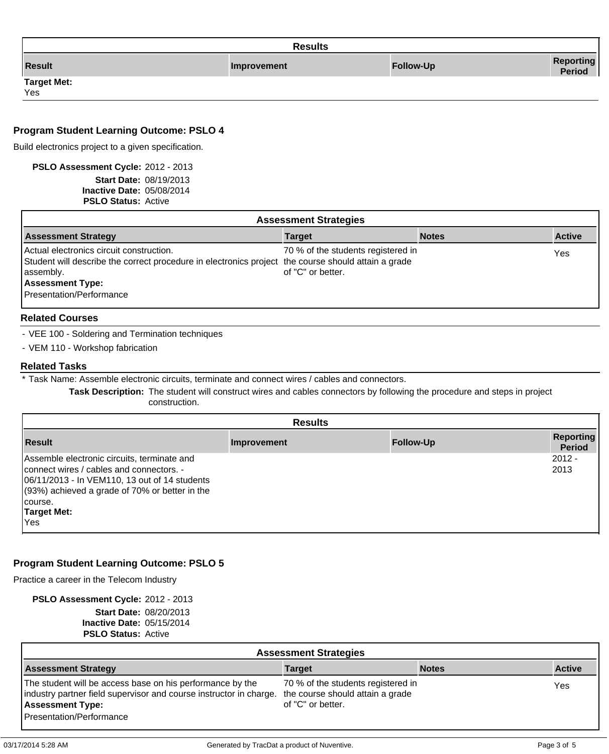|                           | <b>Results</b> |                  |                            |
|---------------------------|----------------|------------------|----------------------------|
| <b>Result</b>             | Improvement    | <b>Follow-Up</b> | <b>Reporting</b><br>Period |
| <b>Target Met:</b><br>Yes |                |                  |                            |

# **Program Student Learning Outcome: PSLO 4**

Build electronics project to a given specification.

**PSLO Assessment Cycle:** 2012 - 2013

**Start Date:** 08/19/2013 **Inactive Date:** 05/08/2014 **PSLO Status:** Active

| <b>Assessment Strategies</b>                                                                                                                                                            |                                                         |              |               |  |
|-----------------------------------------------------------------------------------------------------------------------------------------------------------------------------------------|---------------------------------------------------------|--------------|---------------|--|
| <b>Assessment Strategy</b>                                                                                                                                                              | <b>Target</b>                                           | <b>Notes</b> | <b>Active</b> |  |
| Actual electronics circuit construction.<br>Student will describe the correct procedure in electronics project the course should attain a grade<br>assembly.<br><b>Assessment Type:</b> | 70 % of the students registered in<br>of "C" or better. |              | Yes           |  |
| Presentation/Performance                                                                                                                                                                |                                                         |              |               |  |

## **Related Courses**

- VEE 100 - Soldering and Termination techniques

- VEM 110 - Workshop fabrication

#### **Related Tasks**

\* Task Name: Assemble electronic circuits, terminate and connect wires / cables and connectors.

**Task Description:** The student will construct wires and cables connectors by following the procedure and steps in project construction.

|                                                                                                                                                                                                                                      | <b>Results</b> |                  |                            |
|--------------------------------------------------------------------------------------------------------------------------------------------------------------------------------------------------------------------------------------|----------------|------------------|----------------------------|
| <b>Result</b>                                                                                                                                                                                                                        | Improvement    | <b>Follow-Up</b> | Reporting<br><b>Period</b> |
| Assemble electronic circuits, terminate and<br>connect wires / cables and connectors. -<br>06/11/2013 - In VEM110, 13 out of 14 students<br>$(93%)$ achieved a grade of 70% or better in the<br>course.<br><b>Target Met:</b><br>Yes |                |                  | $2012 -$<br>2013           |

# **Program Student Learning Outcome: PSLO 5**

Practice a career in the Telecom Industry

**PSLO Assessment Cycle:** 2012 - 2013 **Start Date:** 08/20/2013 **Inactive Date:** 05/15/2014

**PSLO Status:** Active

|                                                                                                                                                                                                                         | <b>Assessment Strategies</b>                            |              |               |
|-------------------------------------------------------------------------------------------------------------------------------------------------------------------------------------------------------------------------|---------------------------------------------------------|--------------|---------------|
| <b>Assessment Strategy</b>                                                                                                                                                                                              | <b>Target</b>                                           | <b>Notes</b> | <b>Active</b> |
| The student will be access base on his performance by the<br>industry partner field supervisor and course instructor in charge. the course should attain a grade<br><b>Assessment Type:</b><br>Presentation/Performance | 70 % of the students registered in<br>of "C" or better. |              | Yes           |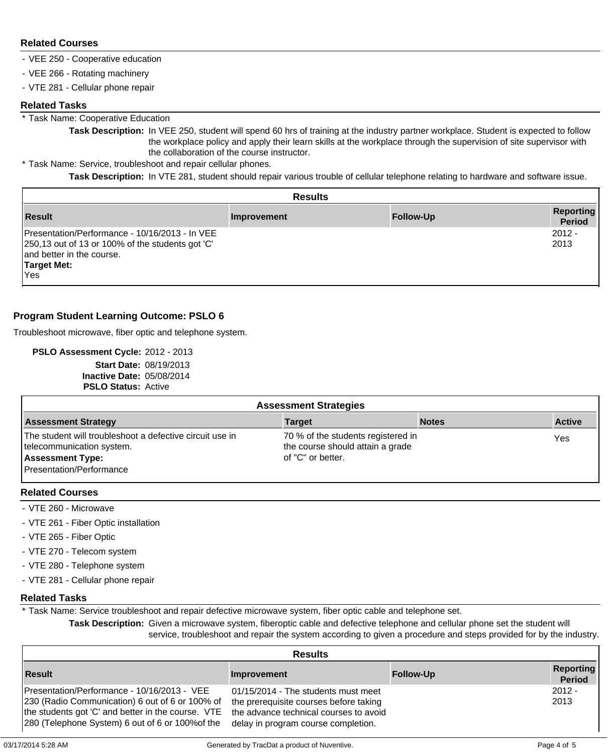# **Related Courses**

- VEE 250 Cooperative education
- VEE 266 Rotating machinery
- VTE 281 Cellular phone repair

#### **Related Tasks**

\* Task Name: Cooperative Education

**Task Description:** In VEE 250, student will spend 60 hrs of training at the industry partner workplace. Student is expected to follow the workplace policy and apply their learn skills at the workplace through the supervision of site supervisor with the collaboration of the course instructor.

\* Task Name: Service, troubleshoot and repair cellular phones.

**Task Description:** In VTE 281, student should repair various trouble of cellular telephone relating to hardware and software issue.

| <b>Results</b>                                                                                                                                                |             |                  |                                   |  |
|---------------------------------------------------------------------------------------------------------------------------------------------------------------|-------------|------------------|-----------------------------------|--|
| l Result                                                                                                                                                      | Improvement | <b>Follow-Up</b> | <b>Reporting</b><br><b>Period</b> |  |
| Presentation/Performance - 10/16/2013 - In VEE<br>250,13 out of 13 or 100% of the students got 'C'<br>and better in the course.<br><b>Target Met:</b><br>lYes |             |                  | $2012 -$<br>2013                  |  |

# **Program Student Learning Outcome: PSLO 6**

Troubleshoot microwave, fiber optic and telephone system.

**PSLO Assessment Cycle:** 2012 - 2013 **Start Date:** 08/19/2013 **Inactive Date:** 05/08/2014 **PSLO Status:** Active

| <b>Assessment Strategies</b>                                                                                                                 |                                                                                             |              |               |  |  |  |
|----------------------------------------------------------------------------------------------------------------------------------------------|---------------------------------------------------------------------------------------------|--------------|---------------|--|--|--|
| <b>Assessment Strategy</b>                                                                                                                   | <b>Target</b>                                                                               | <b>Notes</b> | <b>Active</b> |  |  |  |
| The student will troubleshoot a defective circuit use in<br>telecommunication system.<br><b>Assessment Type:</b><br>Presentation/Performance | 70 % of the students registered in<br>the course should attain a grade<br>of "C" or better. |              | Yes           |  |  |  |

#### **Related Courses**

- VTE 260 Microwave
- VTE 261 Fiber Optic installation
- VTE 265 Fiber Optic
- VTE 270 Telecom system
- VTE 280 Telephone system
- VTE 281 Cellular phone repair

#### **Related Tasks**

\* Task Name: Service troubleshoot and repair defective microwave system, fiber optic cable and telephone set.

**Task Description:** Given a microwave system, fiberoptic cable and defective telephone and cellular phone set the student will service, troubleshoot and repair the system according to given a procedure and steps provided for by the industry.

| <b>Results</b>                                                                                                                                                                                           |                                                                                                                                                                |                  |                                   |  |  |
|----------------------------------------------------------------------------------------------------------------------------------------------------------------------------------------------------------|----------------------------------------------------------------------------------------------------------------------------------------------------------------|------------------|-----------------------------------|--|--|
| <b>Result</b>                                                                                                                                                                                            | Improvement                                                                                                                                                    | <b>Follow-Up</b> | <b>Reporting</b><br><b>Period</b> |  |  |
| Presentation/Performance - 10/16/2013 - VEE<br>230 (Radio Communication) 6 out of 6 or 100% of<br>the students got 'C' and better in the course. VTE<br>280 (Telephone System) 6 out of 6 or 100% of the | 01/15/2014 - The students must meet<br>the prerequisite courses before taking<br>the advance technical courses to avoid<br>delay in program course completion. |                  | $2012 -$<br>2013                  |  |  |